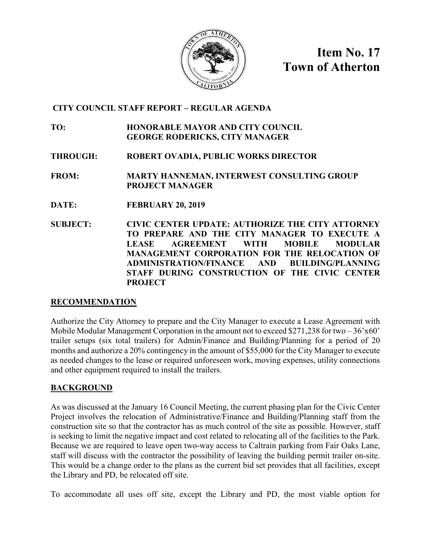

**Item No. 17 Town of Atherton**

## **CITY COUNCIL STAFF REPORT – REGULAR AGENDA**

**TO: HONORABLE MAYOR AND CITY COUNCIL GEORGE RODERICKS, CITY MANAGER**

**THROUGH: ROBERT OVADIA, PUBLIC WORKS DIRECTOR**

**FROM: MARTY HANNEMAN, INTERWEST CONSULTING GROUP PROJECT MANAGER**

- **DATE: FEBRUARY 20, 2019**
- **SUBJECT: CIVIC CENTER UPDATE: AUTHORIZE THE CITY ATTORNEY TO PREPARE AND THE CITY MANAGER TO EXECUTE A LEASE AGREEMENT WITH MOBILE MODULAR MANAGEMENT CORPORATION FOR THE RELOCATION OF ADMINISTRATION/FINANCE AND BUILDING/PLANNING STAFF DURING CONSTRUCTION OF THE CIVIC CENTER PROJECT**

## **RECOMMENDATION**

Authorize the City Attorney to prepare and the City Manager to execute a Lease Agreement with Mobile Modular Management Corporation in the amount not to exceed \$271,238 for two  $-36'x60'$ trailer setups (six total trailers) for Admin/Finance and Building/Planning for a period of 20 months and authorize a 20% contingency in the amount of \$55,000 for the City Manager to execute as needed changes to the lease or required unforeseen work, moving expenses, utility connections and other equipment required to install the trailers.

## **BACKGROUND**

As was discussed at the January 16 Council Meeting, the current phasing plan for the Civic Center Project involves the relocation of Administrative/Finance and Building/Planning staff from the construction site so that the contractor has as much control of the site as possible. However, staff is seeking to limit the negative impact and cost related to relocating all of the facilities to the Park. Because we are required to leave open two-way access to Caltrain parking from Fair Oaks Lane, staff will discuss with the contractor the possibility of leaving the building permit trailer on-site. This would be a change order to the plans as the current bid set provides that all facilities, except the Library and PD, be relocated off site.

To accommodate all uses off site, except the Library and PD, the most viable option for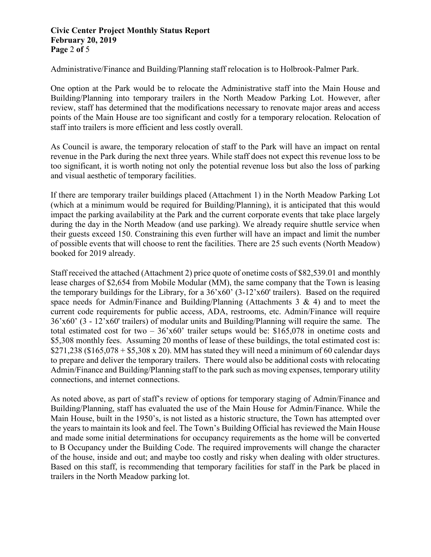## **Civic Center Project Monthly Status Report February 20, 2019 Page** 2 **of** 5

Administrative/Finance and Building/Planning staff relocation is to Holbrook-Palmer Park.

One option at the Park would be to relocate the Administrative staff into the Main House and Building/Planning into temporary trailers in the North Meadow Parking Lot. However, after review, staff has determined that the modifications necessary to renovate major areas and access points of the Main House are too significant and costly for a temporary relocation. Relocation of staff into trailers is more efficient and less costly overall.

As Council is aware, the temporary relocation of staff to the Park will have an impact on rental revenue in the Park during the next three years. While staff does not expect this revenue loss to be too significant, it is worth noting not only the potential revenue loss but also the loss of parking and visual aesthetic of temporary facilities.

If there are temporary trailer buildings placed (Attachment 1) in the North Meadow Parking Lot (which at a minimum would be required for Building/Planning), it is anticipated that this would impact the parking availability at the Park and the current corporate events that take place largely during the day in the North Meadow (and use parking). We already require shuttle service when their guests exceed 150. Constraining this even further will have an impact and limit the number of possible events that will choose to rent the facilities. There are 25 such events (North Meadow) booked for 2019 already.

Staff received the attached (Attachment 2) price quote of onetime costs of \$82,539.01 and monthly lease charges of \$2,654 from Mobile Modular (MM), the same company that the Town is leasing the temporary buildings for the Library, for a 36'x60' (3-12'x60' trailers). Based on the required space needs for Admin/Finance and Building/Planning (Attachments 3 & 4) and to meet the current code requirements for public access, ADA, restrooms, etc. Admin/Finance will require 36'x60' (3 - 12'x60' trailers) of modular units and Building/Planning will require the same. The total estimated cost for two –  $36'x60'$  trailer setups would be: \$165,078 in onetime costs and \$5,308 monthly fees. Assuming 20 months of lease of these buildings, the total estimated cost is:  $$271,238$  (\$165,078 + \$5,308 x 20). MM has stated they will need a minimum of 60 calendar days to prepare and deliver the temporary trailers. There would also be additional costs with relocating Admin/Finance and Building/Planning staff to the park such as moving expenses, temporary utility connections, and internet connections.

As noted above, as part of staff's review of options for temporary staging of Admin/Finance and Building/Planning, staff has evaluated the use of the Main House for Admin/Finance. While the Main House, built in the 1950's, is not listed as a historic structure, the Town has attempted over the years to maintain its look and feel. The Town's Building Official has reviewed the Main House and made some initial determinations for occupancy requirements as the home will be converted to B Occupancy under the Building Code. The required improvements will change the character of the house, inside and out; and maybe too costly and risky when dealing with older structures. Based on this staff, is recommending that temporary facilities for staff in the Park be placed in trailers in the North Meadow parking lot.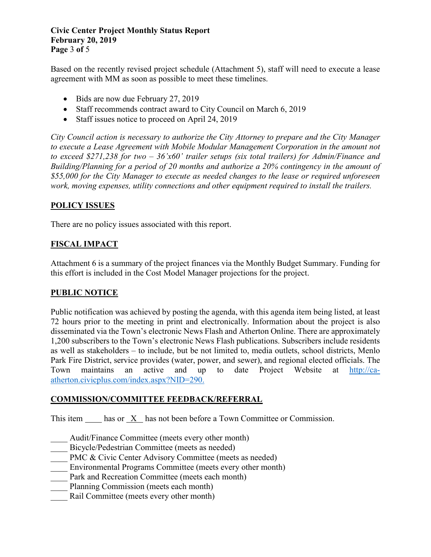**Civic Center Project Monthly Status Report February 20, 2019 Page** 3 **of** 5

Based on the recently revised project schedule (Attachment 5), staff will need to execute a lease agreement with MM as soon as possible to meet these timelines.

- Bids are now due February 27, 2019
- Staff recommends contract award to City Council on March 6, 2019
- Staff issues notice to proceed on April 24, 2019

*City Council action is necessary to authorize the City Attorney to prepare and the City Manager*  to execute a Lease Agreement with Mobile Modular Management Corporation in the amount not *to exceed \$271,238 for two – 36'x60' trailer setups (six total trailers) for Admin/Finance and Building/Planning for a period of 20 months and authorize a 20% contingency in the amount of \$55,000 for the City Manager to execute as needed changes to the lease or required unforeseen work, moving expenses, utility connections and other equipment required to install the trailers.*

## **POLICY ISSUES**

There are no policy issues associated with this report.

## **FISCAL IMPACT**

Attachment 6 is a summary of the project finances via the Monthly Budget Summary. Funding for this effort is included in the Cost Model Manager projections for the project.

## **PUBLIC NOTICE**

Public notification was achieved by posting the agenda, with this agenda item being listed, at least 72 hours prior to the meeting in print and electronically. Information about the project is also disseminated via the Town's electronic News Flash and Atherton Online. There are approximately 1,200 subscribers to the Town's electronic News Flash publications. Subscribers include residents as well as stakeholders – to include, but be not limited to, media outlets, school districts, Menlo Park Fire District, service provides (water, power, and sewer), and regional elected officials. The Town maintains an active and up to date Project Website at [http://ca](http://ca-atherton.civicplus.com/index.aspx?NID=290)[atherton.civicplus.com/index.aspx?NID=290.](http://ca-atherton.civicplus.com/index.aspx?NID=290)

## **COMMISSION/COMMITTEE FEEDBACK/REFERRAL**

This item has or X has not been before a Town Committee or Commission.

- Audit/Finance Committee (meets every other month)
- Bicycle/Pedestrian Committee (meets as needed)
- PMC & Civic Center Advisory Committee (meets as needed)
- Environmental Programs Committee (meets every other month)
- Park and Recreation Committee (meets each month)
- Planning Commission (meets each month)
- Rail Committee (meets every other month)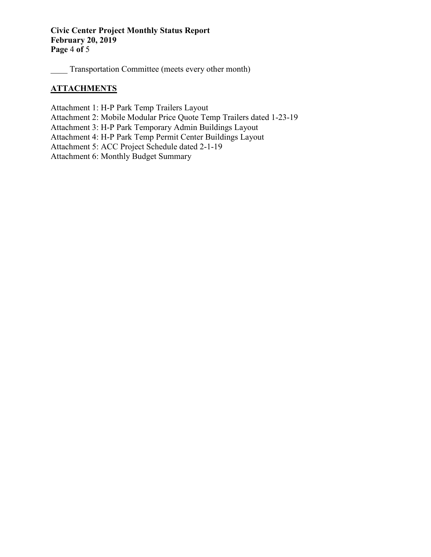## **Civic Center Project Monthly Status Report February 20, 2019 Page** 4 **of** 5

Transportation Committee (meets every other month)

## **ATTACHMENTS**

Attachment 1: H-P Park Temp Trailers Layout

Attachment 2: Mobile Modular Price Quote Temp Trailers dated 1-23-19

Attachment 3: H-P Park Temporary Admin Buildings Layout

Attachment 4: H-P Park Temp Permit Center Buildings Layout

Attachment 5: ACC Project Schedule dated 2-1-19

Attachment 6: Monthly Budget Summary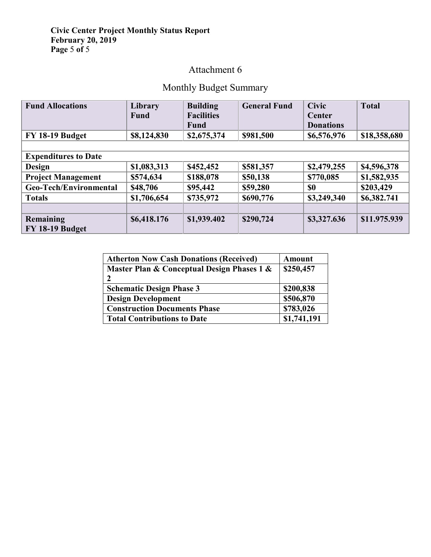## **Civic Center Project Monthly Status Report February 20, 2019 Page** 5 **of** 5

## Attachment 6

## Monthly Budget Summary

| <b>Fund Allocations</b>     | Library     | <b>Building</b>   | <b>General Fund</b> | <b>Civic</b>     | <b>Total</b> |
|-----------------------------|-------------|-------------------|---------------------|------------------|--------------|
|                             | <b>Fund</b> | <b>Facilities</b> |                     | <b>Center</b>    |              |
|                             |             | <b>Fund</b>       |                     | <b>Donations</b> |              |
| FY 18-19 Budget             | \$8,124,830 | \$2,675,374       | \$981,500           | \$6,576,976      | \$18,358,680 |
|                             |             |                   |                     |                  |              |
| <b>Expenditures to Date</b> |             |                   |                     |                  |              |
| <b>Design</b>               | \$1,083,313 | \$452,452         | \$581,357           | \$2,479,255      | \$4,596,378  |
| <b>Project Management</b>   | \$574,634   | \$188,078         | \$50,138            | \$770,085        | \$1,582,935  |
| Geo-Tech/Environmental      | \$48,706    | \$95,442          | \$59,280            | \$0              | \$203,429    |
| <b>Totals</b>               | \$1,706,654 | \$735,972         | \$690,776           | \$3,249,340      | \$6,382.741  |
|                             |             |                   |                     |                  |              |
| Remaining                   | \$6,418.176 | \$1,939.402       | \$290,724           | \$3,327.636      | \$11.975.939 |
| FY 18-19 Budget             |             |                   |                     |                  |              |

| <b>Atherton Now Cash Donations (Received)</b> | Amount      |
|-----------------------------------------------|-------------|
| Master Plan & Conceptual Design Phases 1 &    | \$250,457   |
| י                                             |             |
| <b>Schematic Design Phase 3</b>               | \$200,838   |
| <b>Design Development</b>                     | \$506,870   |
| <b>Construction Documents Phase</b>           | \$783,026   |
| <b>Total Contributions to Date</b>            | \$1,741,191 |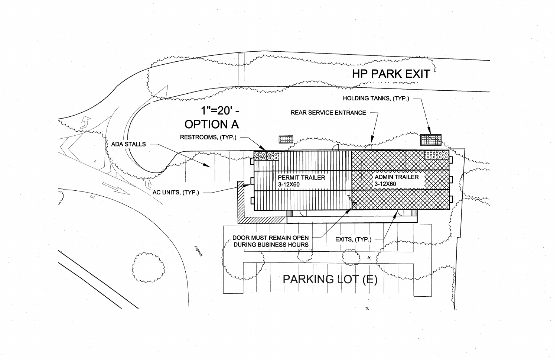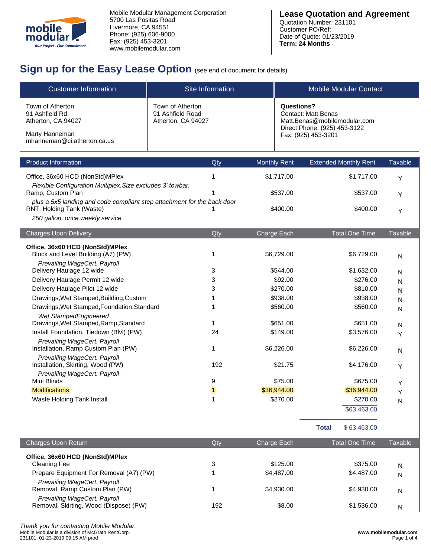

## **Sign up for the Easy Lease Option** (see end of document for details)

| <b>Customer Information</b>                                                                                                             |                                                            | Site Information | <b>Mobile Modular Contact</b>                                                                                                          |                              |                |  |
|-----------------------------------------------------------------------------------------------------------------------------------------|------------------------------------------------------------|------------------|----------------------------------------------------------------------------------------------------------------------------------------|------------------------------|----------------|--|
| Town of Atherton<br>91 Ashfield Rd.<br>Atherton, CA 94027<br>Marty Hanneman<br>mhanneman@ci.atherton.ca.us                              | Town of Atherton<br>91 Ashfield Road<br>Atherton, CA 94027 |                  | <b>Questions?</b><br><b>Contact: Matt Benas</b><br>Matt.Benas@mobilemodular.com<br>Direct Phone: (925) 453-3122<br>Fax: (925) 453-3201 |                              |                |  |
| <b>Product Information</b>                                                                                                              |                                                            | Qty              | <b>Monthly Rent</b>                                                                                                                    | <b>Extended Monthly Rent</b> | <b>Taxable</b> |  |
| Office, 36x60 HCD (NonStd)MPlex                                                                                                         |                                                            | 1                | \$1,717.00                                                                                                                             | \$1,717.00                   | Y              |  |
| Flexible Configuration Multiplex. Size excludes 3' towbar.<br>Ramp, Custom Plan                                                         |                                                            |                  | \$537.00                                                                                                                               | \$537.00                     | Υ              |  |
| plus a 5x5 landing and code compliant step attachment for the back door<br>RNT, Holding Tank (Waste)<br>250 gallon, once weekly service |                                                            |                  | \$400.00                                                                                                                               | \$400.00                     | Y              |  |
| <b>Charges Upon Delivery</b>                                                                                                            |                                                            | Qty              | Charge Each                                                                                                                            | <b>Total One Time</b>        | <b>Taxable</b> |  |
| Office, 36x60 HCD (NonStd)MPlex<br>Block and Level Building (A7) (PW)                                                                   |                                                            | 1                | \$6,729.00                                                                                                                             | \$6,729.00                   | N              |  |
| Prevailing WageCert. Payroll<br>Delivery Haulage 12 wide                                                                                |                                                            | 3                | \$544.00                                                                                                                               | \$1,632.00                   | N              |  |
| Delivery Haulage Permit 12 wide                                                                                                         |                                                            | 3                | \$92.00                                                                                                                                | \$276.00                     | N              |  |
| Delivery Haulage Pilot 12 wide                                                                                                          |                                                            | 3                | \$270.00                                                                                                                               | \$810.00                     | N              |  |
| Drawings, Wet Stamped, Building, Custom                                                                                                 |                                                            | 1                | \$938.00                                                                                                                               | \$938.00                     | N              |  |
| Drawings, Wet Stamped, Foundation, Standard                                                                                             |                                                            | 1                | \$560.00                                                                                                                               | \$560.00                     | N              |  |
| Wet StampedEngineered<br>Drawings, Wet Stamped, Ramp, Standard                                                                          |                                                            | 1                | \$651.00                                                                                                                               | \$651.00                     | N              |  |
| Install Foundation, Tiedown (Blvl) (PW)                                                                                                 |                                                            | 24               | \$149.00                                                                                                                               | \$3,576.00                   | Υ              |  |
| Prevailing WageCert. Payroll<br>Installation, Ramp Custom Plan (PW)                                                                     |                                                            | $\mathbf{1}$     | \$6,226.00                                                                                                                             | \$6,226.00                   | N              |  |
| Prevailing WageCert. Payroll<br>Installation, Skirting, Wood (PW)                                                                       |                                                            | 192              | \$21.75                                                                                                                                | \$4,176.00                   | Υ              |  |
| Prevailing WageCert. Payroll<br>Mini Blinds                                                                                             |                                                            | 9                | \$75.00                                                                                                                                | \$675.00                     |                |  |
| <b>Modifications</b>                                                                                                                    |                                                            | $\mathbf{1}$     | \$36,944.00                                                                                                                            | \$36,944.00                  | Υ              |  |
| Waste Holding Tank Install                                                                                                              |                                                            | 1                | \$270.00<br>\$270.00                                                                                                                   |                              | Υ              |  |
|                                                                                                                                         |                                                            |                  |                                                                                                                                        | \$63,463.00                  | N              |  |

|                                                                        |     |             | <b>Total</b><br>\$63,463.00 |         |
|------------------------------------------------------------------------|-----|-------------|-----------------------------|---------|
| <b>Charges Upon Return</b>                                             | Qty | Charge Each | <b>Total One Time</b>       | Taxable |
| Office, 36x60 HCD (NonStd)MPlex<br>Cleaning Fee                        | 3   | \$125.00    | \$375.00                    | N       |
| Prepare Equipment For Removal (A7) (PW)                                |     | \$4,487.00  | \$4,487.00                  | N       |
| Prevailing WageCert. Payroll<br>Removal, Ramp Custom Plan (PW)         |     | \$4,930,00  | \$4,930,00                  | N       |
| Prevailing WageCert. Payroll<br>Removal, Skirting, Wood (Dispose) (PW) | 192 | \$8.00      | \$1,536.00                  | N       |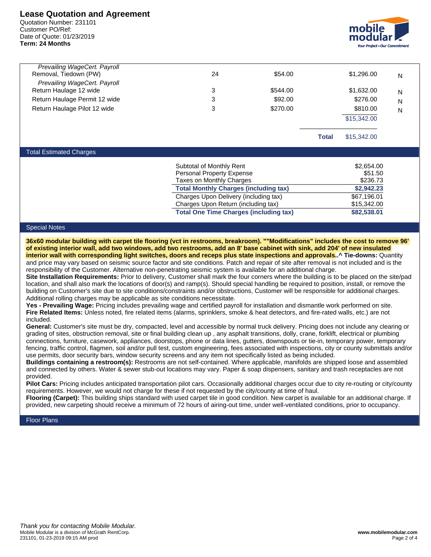### **Lease Quotation and Agreement**

Quotation Number: 231101 Customer PO/Ref: Date of Quote: 01/23/2019 **Term: 24 Months**



| Prevailing WageCert. Payroll<br>Removal, Tiedown (PW)  | 24 | \$54.00  |       | \$1,296,00  | N |
|--------------------------------------------------------|----|----------|-------|-------------|---|
| Prevailing WageCert. Payroll<br>Return Haulage 12 wide | 3  | \$544.00 |       | \$1,632.00  | N |
| Return Haulage Permit 12 wide                          | 3  | \$92.00  |       | \$276.00    | N |
| Return Haulage Pilot 12 wide                           | 3  | \$270.00 |       | \$810.00    | N |
|                                                        |    |          |       | \$15,342.00 |   |
|                                                        |    |          | Total | \$15,342,00 |   |

#### Total Estimated Charges

| Subtotal of Monthly Rent                      | \$2,654.00  |
|-----------------------------------------------|-------------|
| <b>Personal Property Expense</b>              | \$51.50     |
| Taxes on Monthly Charges                      | \$236.73    |
| <b>Total Monthly Charges (including tax)</b>  | \$2,942.23  |
| Charges Upon Delivery (including tax)         | \$67,196.01 |
| Charges Upon Return (including tax)           | \$15,342.00 |
| <b>Total One Time Charges (including tax)</b> | \$82,538.01 |

#### Special Notes

**36x60 modular building with carpet tile flooring (vct in restrooms, breakroom). ""Modifications" includes the cost to remove 96' of existing interior wall, add two windows, add two restrooms, add an 8' base cabinet with sink, add 204' of new insulated interior wall with corresponding light switches, doors and receps plus state inspections and approvals..^ Tie-downs:** Quantity and price may vary based on seismic source factor and site conditions. Patch and repair of site after removal is not included and is the responsibility of the Customer. Alternative non-penetrating seismic system is available for an additional charge.

**Site Installation Requirements:** Prior to delivery, Customer shall mark the four corners where the building is to be placed on the site/pad location, and shall also mark the locations of door(s) and ramp(s). Should special handling be required to position, install, or remove the building on Customer's site due to site conditions/constraints and/or obstructions, Customer will be responsible for additional charges. Additional rolling charges may be applicable as site conditions necessitate.

**Yes - Prevailing Wage:** Pricing includes prevailing wage and certified payroll for installation and dismantle work performed on site. **Fire Related Items:** Unless noted, fire related items (alarms, sprinklers, smoke & heat detectors, and fire-rated walls, etc.) are not included.

**General:** Customer's site must be dry, compacted, level and accessible by normal truck delivery. Pricing does not include any clearing or grading of sites, obstruction removal, site or final building clean up , any asphalt transitions, dolly, crane, forklift, electrical or plumbing connections, furniture, casework, appliances, doorstops, phone or data lines, gutters, downspouts or tie-in, temporary power, temporary fencing, traffic control, flagmen, soil and/or pull test, custom engineering, fees associated with inspections, city or county submittals and/or use permits, door security bars, window security screens and any item not specifically listed as being included.

**Buildings containing a restroom(s):** Restrooms are not self-contained. Where applicable, manifolds are shipped loose and assembled and connected by others. Water & sewer stub-out locations may vary. Paper & soap dispensers, sanitary and trash receptacles are not provided.

**Pilot Cars:** Pricing includes anticipated transportation pilot cars. Occasionally additional charges occur due to city re-routing or city/county requirements. However, we would not charge for these if not requested by the city/county at time of haul.

**Flooring (Carpet):** This building ships standard with used carpet tile in good condition. New carpet is available for an additional charge. If provided, new carpeting should receive a minimum of 72 hours of airing-out time, under well-ventilated conditions, prior to occupancy.

#### Floor Plans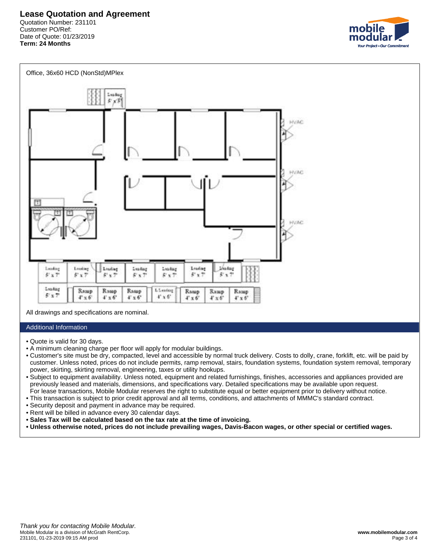



All drawings and specifications are nominal.

#### Additional Information

- Quote is valid for 30 days.
- A minimum cleaning charge per floor will apply for modular buildings.
- Customer's site must be dry, compacted, level and accessible by normal truck delivery. Costs to dolly, crane, forklift, etc. will be paid by • customer. Unless noted, prices do not include permits, ramp removal, stairs, foundation systems, foundation system removal, temporary • power, skirting, skirting removal, engineering, taxes or utility hookups.
- Subject to equipment availability. Unless noted, equipment and related furnishings, finishes, accessories and appliances provided are • previously leased and materials, dimensions, and specifications vary. Detailed specifications may be available upon request. • For lease transactions, Mobile Modular reserves the right to substitute equal or better equipment prior to delivery without notice.
- This transaction is subject to prior credit approval and all terms, conditions, and attachments of MMMC's standard contract.
- Security deposit and payment in advance may be required.
- Rent will be billed in advance every 30 calendar days.
- **Sales Tax will be calculated based on the tax rate at the time of invoicing.**
- **Unless otherwise noted, prices do not include prevailing wages, Davis-Bacon wages, or other special or certified wages.**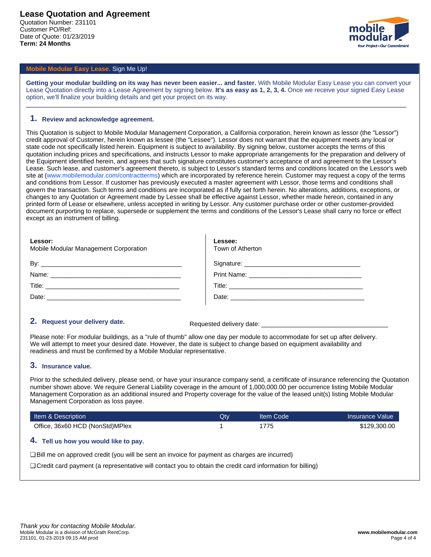

### **Mobile Modular Easy Lease.** Sign Me Up!

**Getting your modular building on its way has never been easier... and faster.** With Mobile Modular Easy Lease you can convert your Lease Quotation directly into a Lease Agreement by signing below. **It's as easy as 1, 2, 3, 4.** Once we receive your signed Easy Lease option, we'll finalize your building details and get your project on its way.

\_\_\_\_\_\_\_\_\_\_\_\_\_\_\_\_\_\_\_\_\_\_\_\_\_\_\_\_\_\_\_\_\_\_\_\_\_\_\_\_\_\_\_\_\_\_\_\_\_\_\_\_\_\_\_\_\_\_\_\_\_\_\_\_\_\_\_\_\_\_\_\_\_\_\_\_\_\_\_\_\_\_\_\_\_\_\_\_\_\_\_\_\_\_\_\_\_\_\_\_\_\_\_\_\_\_\_\_

#### **1. Review and acknowledge agreement.**

This Quotation is subject to Mobile Modular Management Corporation, a California corporation, herein known as lessor (the "Lessor") credit approval of Customer, herein known as lessee (the "Lessee"). Lessor does not warrant that the equipment meets any local or state code not specifically listed herein. Equipment is subject to availability. By signing below, customer accepts the terms of this quotation including prices and specifications, and instructs Lessor to make appropriate arrangements for the preparation and delivery of the Equipment identified herein, and agrees that such signature constitutes customer's acceptance of and agreement to the Lessor's Lease. Such lease, and customer's agreement thereto, is subject to Lessor's standard terms and conditions located on the Lessor's web site at (www.mobilemodular.com/contractterms) which are incorporated by reference herein. Customer may request a copy of the terms and conditions from Lessor. If customer has previously executed a master agreement with Lessor, those terms and conditions shall govern the transaction. Such terms and conditions are incorporated as if fully set forth herein. No alterations, additions, exceptions, or changes to any Quotation or Agreement made by Lessee shall be effective against Lessor, whether made hereon, contained in any printed form of Lease or elsewhere, unless accepted in writing by Lessor. Any customer purchase order or other customer-provided document purporting to replace, supersede or supplement the terms and conditions of the Lessor's Lease shall carry no force or effect except as an instrument of billing.

| Lessor:<br>Mobile Modular Management Corporation    | Lessee:<br>Town of Atherton |
|-----------------------------------------------------|-----------------------------|
|                                                     |                             |
|                                                     |                             |
| Title: <u>www.community.community.community.com</u> |                             |
|                                                     |                             |

### **2.** Request your delivery date. **Requested delivery date:**

Please note: For modular buildings, as a "rule of thumb" allow one day per module to accommodate for set up after delivery. We will attempt to meet your desired date. However, the date is subject to change based on equipment availability and readiness and must be confirmed by a Mobile Modular representative.

#### **3. Insurance value.**

Prior to the scheduled delivery, please send, or have your insurance company send, a certificate of insurance referencing the Quotation number shown above. We require General Liability coverage in the amount of 1,000,000.00 per occurrence listing Mobile Modular Management Corporation as an additional insured and Property coverage for the value of the leased unit(s) listing Mobile Modular Management Corporation as loss payee.

| Item & Description              | Qtv | Iltem Code | Insurance Value |
|---------------------------------|-----|------------|-----------------|
| Office, 36x60 HCD (NonStd)MPlex |     | 1775       | \$129,300.00    |
| _____<br>_______                |     |            |                 |

#### **4. Tell us how you would like to pay.**

❏ Bill me on approved credit (you will be sent an invoice for payment as charges are incurred)

❏ Credit card payment (a representative will contact you to obtain the credit card information for billing)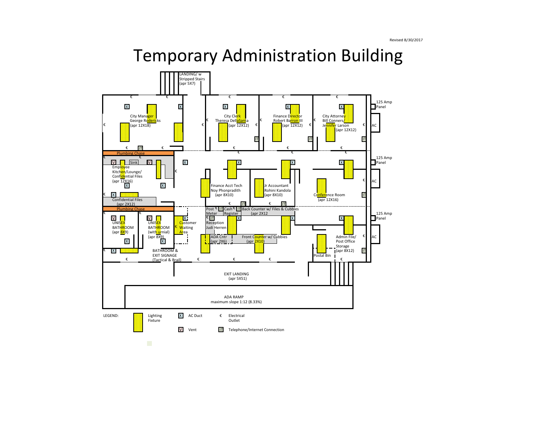# Temporary Administration Building

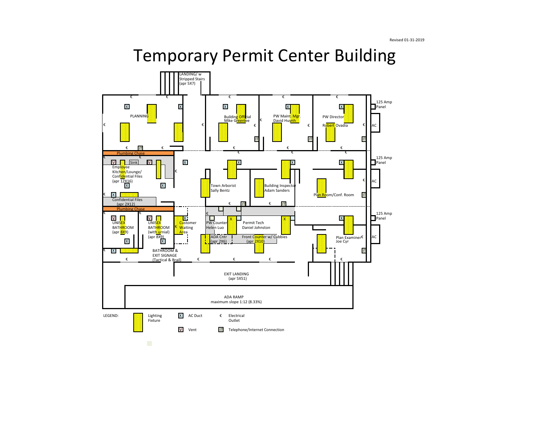# Temporary Permit Center Building

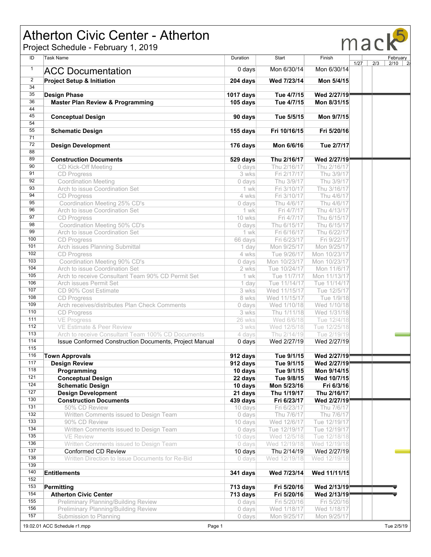# Atherton Civic Center - Atherton

Project Schedule - February 1, 2019



| ID               | <b>Task Name</b>                                                      | Duration           | Start                      | Finish                      |      | February        |
|------------------|-----------------------------------------------------------------------|--------------------|----------------------------|-----------------------------|------|-----------------|
| $\mathbf{1}$     |                                                                       |                    |                            |                             | 1/27 | 2/3<br>$2/10$ 2 |
|                  | <b>ACC Documentation</b>                                              | $0$ days           | Mon 6/30/14                | Mon 6/30/14                 |      |                 |
| $\overline{2}$   | <b>Project Setup &amp; Initiation</b>                                 | 204 days           | Wed 7/23/14                | Mon 5/4/15                  |      |                 |
| $\overline{34}$  |                                                                       |                    |                            |                             |      |                 |
| 35               | <b>Design Phase</b>                                                   | <b>1017 days</b>   | Tue 4/7/15                 | Wed 2/27/19                 |      |                 |
| 36               | <b>Master Plan Review &amp; Programming</b>                           | 105 days           | Tue 4/7/15                 | Mon 8/31/15                 |      |                 |
| 44               |                                                                       |                    |                            |                             |      |                 |
| 45               | <b>Conceptual Design</b>                                              | 90 days            | Tue 5/5/15                 | Mon 9/7/15                  |      |                 |
| 54               |                                                                       |                    |                            |                             |      |                 |
| 55<br>71         | <b>Schematic Design</b>                                               | 155 days           | Fri 10/16/15               | Fri 5/20/16                 |      |                 |
| $\overline{72}$  |                                                                       |                    |                            |                             |      |                 |
| 88               | <b>Design Development</b>                                             | 176 days           | Mon 6/6/16                 | Tue 2/7/17                  |      |                 |
| 89               | <b>Construction Documents</b>                                         | 529 days           | Thu 2/16/17                | Wed 2/27/19                 |      |                 |
| 90               | CD Kick-Off Meeting                                                   | 0 days             | Thu 2/16/17                | Thu 2/16/17                 |      |                 |
| 91               | <b>CD</b> Progress                                                    | 3 wks              | Fri 2/17/17                | Thu 3/9/17                  |      |                 |
| 92               | <b>Coordination Meeting</b>                                           | 0 days             | Thu 3/9/17                 | Thu 3/9/17                  |      |                 |
| 93               | Arch to issue Coordination Set                                        | 1 wk               | Fri 3/10/17                | Thu 3/16/17                 |      |                 |
| 94               | <b>CD Progress</b>                                                    | 4 wks              | Fri 3/10/17                | Thu 4/6/17                  |      |                 |
| 95               | Coordination Meeting 25% CD's                                         | 0 days             | Thu 4/6/17                 | Thu 4/6/17                  |      |                 |
| 96               | Arch to issue Coordination Set                                        | 1 wk               | Fri 4/7/17                 | Thu 4/13/17                 |      |                 |
| 97               | <b>CD Progress</b>                                                    | 10 wks             | Fri 4/7/17                 | Thu 6/15/17                 |      |                 |
| 98               | Coordination Meeting 50% CD's                                         | 0 days             | Thu 6/15/17                | Thu 6/15/17                 |      |                 |
| 99               | Arch to issue Coordination Set                                        | 1 wk               | Fri 6/16/17                | Thu 6/22/17                 |      |                 |
| 100              | <b>CD Progress</b>                                                    | 66 days            | Fri 6/23/17                | Fri 9/22/17                 |      |                 |
| 101              | <b>Arch issues Planning Submittal</b>                                 | 1 day              | Mon 9/25/17                | Mon 9/25/17                 |      |                 |
| 102              | <b>CD Progress</b>                                                    | 4 wks              | Tue 9/26/17                | Mon 10/23/17                |      |                 |
| 103              | Coordination Meeting 90% CD's                                         | 0 days             | Mon 10/23/17               | Mon 10/23/17                |      |                 |
| 104              | Arch to issue Coordination Set                                        | 2 wks              | Tue 10/24/17               | Mon 11/6/17                 |      |                 |
| 105              | Arch to receive Consultant Team 90% CD Permit Set                     | 1 wk               | Tue 11/7/17                | Mon 11/13/17                |      |                 |
| 106              | Arch issues Permit Set                                                | 1 day              | Tue 11/14/17               | Tue 11/14/17                |      |                 |
| 107              | CD 90% Cost Estimate                                                  | 3 wks              | Wed 11/15/17               | Tue 12/5/17                 |      |                 |
| 108              | CD Progress                                                           | 8 wks              | Wed 11/15/17               | Tue 1/9/18                  |      |                 |
| 109              | Arch receives/distributes Plan Check Comments                         | 0 days             | Wed 1/10/18                | Wed 1/10/18                 |      |                 |
| 110              | <b>CD Progress</b>                                                    | 3 wks              | Thu 1/11/18                | Wed 1/31/18                 |      |                 |
| 111<br>112       | <b>VE Progress</b><br>VE Estimate & Peer Review                       | 26 wks             | Wed 6/6/18                 | Tue 12/4/18                 |      |                 |
| 113              | Arch to receive Consultant Team 100% CD Documents                     | 3 wks              | Wed 12/5/18<br>Thu 2/14/19 | Tue 12/25/18<br>Tue 2/19/19 |      |                 |
| 114              | Issue Conformed Construction Documents, Project Manual                | 4 days<br>$0$ days | Wed 2/27/19                | Wed 2/27/19                 |      |                 |
| 115              |                                                                       |                    |                            |                             |      |                 |
| 116              | <b>Town Approvals</b>                                                 | 912 days           | Tue 9/1/15                 | Wed 2/27/19                 |      |                 |
| 117              | <b>Design Review</b>                                                  | 912 days           | Tue 9/1/15                 | Wed 2/27/19                 |      |                 |
| 118              | Programming                                                           | 10 days            | Tue 9/1/15                 | Mon 9/14/15                 |      |                 |
| 121              | <b>Conceptual Design</b>                                              | 22 days            | Tue 9/8/15                 | Wed 10/7/15                 |      |                 |
| 124              | <b>Schematic Design</b>                                               | 10 days            | Mon 5/23/16                | Fri 6/3/16                  |      |                 |
| 127              | <b>Design Development</b>                                             | 21 days            | Thu 1/19/17                | Thu 2/16/17                 |      |                 |
| 130              | <b>Construction Documents</b>                                         | 439 days           | Fri 6/23/17                | Wed 2/27/19                 |      |                 |
| 131              | 50% CD Review                                                         | 10 days            | Fri 6/23/17                | Thu 7/6/17                  |      |                 |
| 132              | Written Comments issued to Design Team                                | 0 days             | Thu 7/6/17                 | Thu 7/6/17                  |      |                 |
| $\overline{133}$ | 90% CD Review                                                         | 10 days            | Wed 12/6/17                | Tue 12/19/17                |      |                 |
| 134              | Written Comments issued to Design Team                                | 0 days             | Tue 12/19/17               | Tue 12/19/17                |      |                 |
| 135              | <b>VE Review</b>                                                      | 10 days            | Wed 12/5/18                | Tue 12/18/18                |      |                 |
| 136              | Written Comments issued to Design Team                                | 0 days             | Wed 12/19/18               | Wed 12/19/18                |      |                 |
| 137              | <b>Conformed CD Review</b>                                            | 10 days            | Thu 2/14/19                | Wed 2/27/19                 |      |                 |
| 138              | Written Direction to Issue Documents for Re-Bid                       | 0 days             | Wed 12/19/18               | Wed 12/19/18                |      |                 |
| 139              |                                                                       |                    |                            |                             |      |                 |
| 140              | <b>Entitlements</b>                                                   | 341 days           | Wed 7/23/14                | Wed 11/11/15                |      |                 |
| 152              |                                                                       |                    |                            |                             |      |                 |
| 153<br>154       | Permitting                                                            | $713$ days         | Fri 5/20/16                | Wed 2/13/19                 |      |                 |
| 155              | <b>Atherton Civic Center</b>                                          | 713 days           | Fri 5/20/16                | Wed 2/13/19                 |      |                 |
|                  | <b>Preliminary Planning/Building Review</b>                           | 0 days             | Fri 5/20/16                | Fri 5/20/16                 |      |                 |
|                  |                                                                       |                    |                            |                             |      |                 |
| 156<br>157       | <b>Preliminary Planning/Building Review</b><br>Submission to Planning | 0 days<br>0 days   | Wed 1/18/17<br>Mon 9/25/17 | Wed 1/18/17<br>Mon 9/25/17  |      |                 |